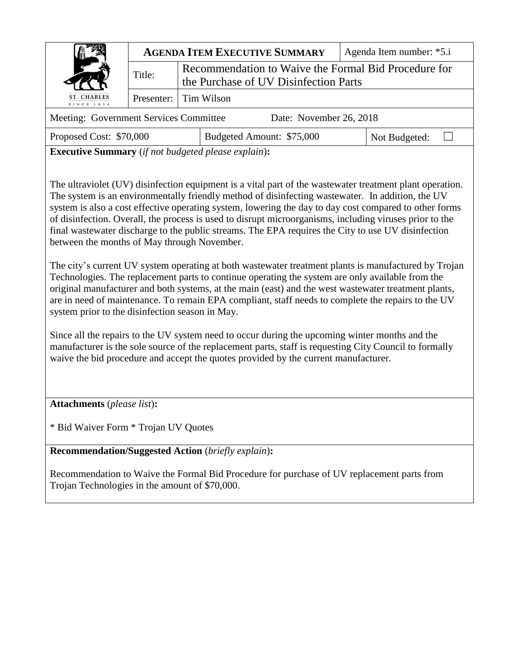|                                                                   | <b>AGENDA ITEM EXECUTIVE SUMMARY</b> |                                                                                               |                           | Agenda Item number: *5.i |               |  |
|-------------------------------------------------------------------|--------------------------------------|-----------------------------------------------------------------------------------------------|---------------------------|--------------------------|---------------|--|
|                                                                   | Title:                               | Recommendation to Waive the Formal Bid Procedure for<br>the Purchase of UV Disinfection Parts |                           |                          |               |  |
| ST. CHARLES<br>SINCE 1834                                         |                                      | Presenter: Tim Wilson                                                                         |                           |                          |               |  |
| Date: November 26, 2018<br>Meeting: Government Services Committee |                                      |                                                                                               |                           |                          |               |  |
| Proposed Cost: \$70,000                                           |                                      |                                                                                               | Budgeted Amount: \$75,000 |                          | Not Budgeted: |  |

**Executive Summary** (*if not budgeted please explain*)**:**

The ultraviolet (UV) disinfection equipment is a vital part of the wastewater treatment plant operation. The system is an environmentally friendly method of disinfecting wastewater. In addition, the UV system is also a cost effective operating system, lowering the day to day cost compared to other forms of disinfection. Overall, the process is used to disrupt microorganisms, including viruses prior to the final wastewater discharge to the public streams. The EPA requires the City to use UV disinfection between the months of May through November.

The city's current UV system operating at both wastewater treatment plants is manufactured by Trojan Technologies. The replacement parts to continue operating the system are only available from the original manufacturer and both systems, at the main (east) and the west wastewater treatment plants, are in need of maintenance. To remain EPA compliant, staff needs to complete the repairs to the UV system prior to the disinfection season in May.

Since all the repairs to the UV system need to occur during the upcoming winter months and the manufacturer is the sole source of the replacement parts, staff is requesting City Council to formally waive the bid procedure and accept the quotes provided by the current manufacturer.

**Attachments** (*please list*)**:** 

\* Bid Waiver Form \* Trojan UV Quotes

**Recommendation/Suggested Action** (*briefly explain*)**:**

Recommendation to Waive the Formal Bid Procedure for purchase of UV replacement parts from Trojan Technologies in the amount of \$70,000.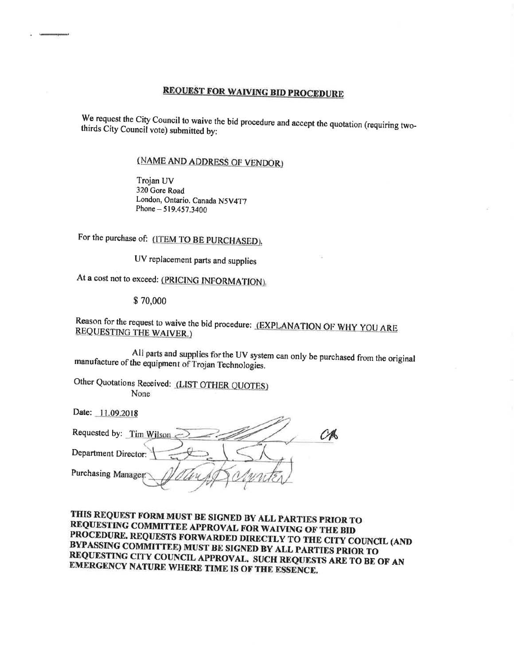# **REQUEST FOR WAIVING BID PROCEDURE**

We request the City Council to waive the bid procedure and accept the quotation (requiring twothirds City Council vote) submitted by:

## (NAME AND ADDRESS OF VENDOR)

Trojan UV 320 Gore Road London, Ontario. Canada N5V4T7 Phone - 519.457.3400

For the purchase of: (ITEM TO BE PURCHASED).

UV replacement parts and supplies

At a cost not to exceed: (PRICING INFORMATION).

\$70,000

## Reason for the request to waive the bid procedure: (EXPLANATION OF WHY YOU ARE **REQUESTING THE WAIVER.)**

All parts and supplies for the UV system can only be purchased from the original manufacture of the equipment of Trojan Technologies.

in c

Other Quotations Received: (LIST OTHER QUOTES) None

Date: 11.09.2018

| Requested by: Tim Wilson |  |
|--------------------------|--|
| Department Director:     |  |
| Purchasing Manager       |  |
|                          |  |

THIS REQUEST FORM MUST BE SIGNED BY ALL PARTIES PRIOR TO REQUESTING COMMITTEE APPROVAL FOR WAIVING OF THE BID PROCEDURE. REQUESTS FORWARDED DIRECTLY TO THE CITY COUNCIL (AND BYPASSING COMMITTEE) MUST BE SIGNED BY ALL PARTIES PRIOR TO REQUESTING CITY COUNCIL APPROVAL. SUCH REQUESTS ARE TO BE OF AN EMERGENCY NATURE WHERE TIME IS OF THE ESSENCE.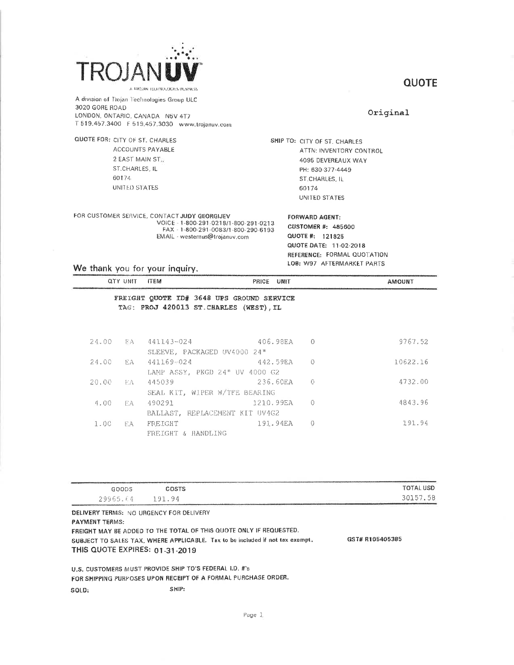

QUOTE FOR: CITY OF ST. CHARLES

60174

A division of Trojan Technologies Group ULC 3020 GORE ROAD LONDON, ONTARIO, CANADA N5V 4T7

ACCOUNTS PAYABLE

2 EAST MAIN ST.,

ST.CHARLES, IL

UNITED STATES

### **QUOTE**

#### Original

SHIP TO: CITY OF ST. CHARLES ATTN: INVENTORY CONTROL 4095 DEVEREAUX WAY PH: 630-377-4449 ST.CHARLES, IL 60174 UNITED STATES

**FORWARD AGENT:** 

FOR CUSTOMER SERVICE, CONTACT JUDY GEORGIJEV VOICE - 1-800-291-0218/1-800-291-0213<br>FAX - 1-800-291-0083/1-800-290-6193

EMAIL - westernus@trojanuv.com

**CUSTOMER #: 485600** QUOTE #: 121825 QUOTE DATE: 11-02-2018 REFERENCE: FORMAL QUOTATION LOB: W97 AFTERMARKET PARTS

We thank you for your inquiry.

| QTY UNIT ITEM   |                                                                                      | PRICE UNIT |           | <b>AMOUNT</b> |
|-----------------|--------------------------------------------------------------------------------------|------------|-----------|---------------|
|                 | FREIGHT QUOTE ID# 3648 UPS GROUND SERVICE<br>TAG: PROJ 420013 ST. CHARLES (WEST), IL |            |           |               |
| 24.00<br>三日八    | 441143-024<br>SLEEVE. PACKAGED UV4000 24"                                            | 406.98EA   | $\circ$ 0 | 9767.52       |
| F.A<br>24.00    | 441169-024<br>LAMP ASSY, PKGD 24" UV 4000 G2                                         | 442.59EA   | $\circ$ 0 | 10622.16      |
| 20.00<br>- EA - | 445039<br>SEAL KIT, WIPER W/TFE BEARING                                              | 236.60EA   | 0         | 4732.00       |

|          |        | SEAL KIT, WIPER W/TFE BEARING  |             |         |
|----------|--------|--------------------------------|-------------|---------|
|          |        | 4.00 FA 490291                 | 1210.99EA 0 | 4843.96 |
|          |        | BALLAST. REPLACEMENT KIT UV4G2 |             |         |
| $1 - 00$ | - F.A. | FREIGHT                        | 191.94EA 0  | 191.94  |
|          |        | FREIGHT & HANDLING             |             |         |
|          |        |                                |             |         |

| GOODS                                           | COSTS                                                                                                                                                                 | <b>TOTAL USD</b> |
|-------------------------------------------------|-----------------------------------------------------------------------------------------------------------------------------------------------------------------------|------------------|
| 29965.64                                        | -191-94                                                                                                                                                               | 30157.58         |
| <b>DELIVERY TERMS</b> - MO URGENCY FOR DELIVERY | Car Market & Care and Provide American Association<br>the second control of the control of the control of the control of the control of the control of the control of |                  |

NO URGENCY FOR DELI **PAYMENT TERMS:** FREIGHT MAY BE ADDED TO THE TOTAL OF THIS QUOTE ONLY IF REQUESTED. SUBJECT TO SALES TAX, WHERE APPLICABLE. Tax to be included if not tax exampt. GST# R105405385 THIS QUOTE EXPIRES: 01-31-2019

U.S. CUSTOMERS MUST PROVIDE SHIP TO'S FEDERAL I.D. #'s FOR SHIPPING PURPOSES UPON RECEIPT OF A FORMAL PURCHASE ORDER.

SHIP: SOLD: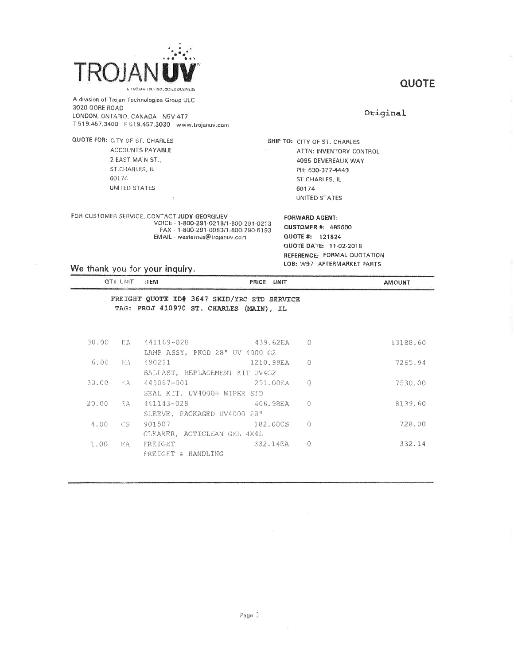

QUOTE FOR: CITY OF ST. CHARLES

60174

### **QUOTE**

A division of Trojan Technologies Group ULC 3020 GORE ROAD LONDON, ONTARIO, CANADA N5V 4T7 T 519.457.3400 F 519.457.3030 www.trojanuv.com

ACCOUNTS PAYABLE

2 EAST MAIN ST.,

ST.CHARLES, IL

UNITED STATES

Original

SHIP TO: CITY OF ST. CHARLES ATTN: INVENTORY CONTROL 4095 DEVEREAUX WAY PH: 630-377-4449 ST.CHARLES, IL 60174 UNITED STATES

FOR CUSTOMER SERVICE, CONTACT JUDY GEORGIJEV VOICE - 1-800-291-0218/1-800-291-0213 FAX - 1-800-291-0083/1-800-290-6193 EMAIL · westernus@trojanuv.com

**FORWARD AGENT:** 

CUSTOMER #: 485600 QUOTE #: 121824 QUOTE DATE: 11-02-2018 REFERENCE: FORMAL QUOTATION LOB: W97 AFTERMARKET PARTS

We thank you for your inquiry.

|          | QTY UNIT ITEM |                                                                                        | PRICE UNIT  |           | <b>AMOUNT</b> |
|----------|---------------|----------------------------------------------------------------------------------------|-------------|-----------|---------------|
|          |               | FREIGHT QUOTE ID# 3647 SKID/YRC STD SERVICE<br>TAG: PROJ 410970 ST. CHARLES (MAIN), IL |             |           |               |
|          |               | 30.00 EA 441169-028                                                                    | 439.62EA 0  |           | 13188.60      |
|          |               | LAMP ASSY, PKGD 28" UV 4000 G2                                                         |             |           |               |
| 6.00     | EA -          | 490291                                                                                 | 1210.99EA 0 |           | 7265.94       |
|          |               | BALLAST, REPLACEMENT KIT UV4G2                                                         |             |           |               |
| 30.00    | E.A           | 445067-001 2001                                                                        | 251.00EA    | $\Omega$  | 7530.00       |
|          |               | SEAL KIT, UV4000+ WIPER STD                                                            |             |           |               |
| 20.00 EA |               | $441143 - 028$ 406.98EA                                                                |             | $\bigcap$ | 8139.60       |
|          |               | SLEEVE, PACKAGED UV4000 28"                                                            |             |           |               |
| 4.00     | - 08 -        | 901507                                                                                 | 182.00CS    | $\cap$    | 728.00        |
|          |               | CLEANER, ACTICLEAN GEL 4X4L                                                            |             |           |               |
| 1.00     | FA            | FREIGHT                                                                                | 332.14EA    | $\Omega$  | 332.14        |
|          |               | FREIGHT & HANDLING                                                                     |             |           |               |